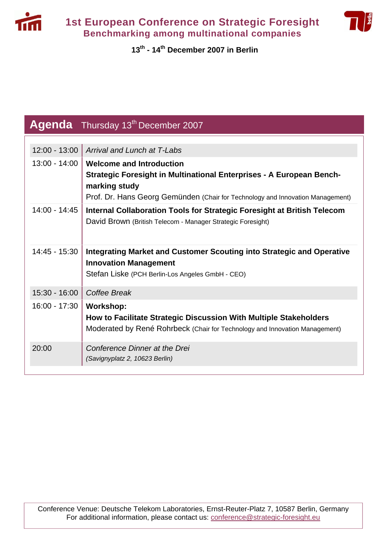



## **13th - 14th December 2007 in Berlin**

|                 | Agenda Thursday 13 <sup>th</sup> December 2007                                                                                                                       |
|-----------------|----------------------------------------------------------------------------------------------------------------------------------------------------------------------|
|                 |                                                                                                                                                                      |
| $12:00 - 13:00$ | Arrival and Lunch at T-Labs                                                                                                                                          |
| $13:00 - 14:00$ | <b>Welcome and Introduction</b>                                                                                                                                      |
|                 | Strategic Foresight in Multinational Enterprises - A European Bench-<br>marking study                                                                                |
|                 | Prof. Dr. Hans Georg Gemünden (Chair for Technology and Innovation Management)                                                                                       |
| $14:00 - 14:45$ | Internal Collaboration Tools for Strategic Foresight at British Telecom<br>David Brown (British Telecom - Manager Strategic Foresight)                               |
| $14:45 - 15:30$ | Integrating Market and Customer Scouting into Strategic and Operative<br><b>Innovation Management</b>                                                                |
|                 | Stefan Liske (PCH Berlin-Los Angeles GmbH - CEO)                                                                                                                     |
| 15:30 - 16:00   | Coffee Break                                                                                                                                                         |
| $16:00 - 17:30$ | <b>Workshop:</b><br>How to Facilitate Strategic Discussion With Multiple Stakeholders<br>Moderated by René Rohrbeck (Chair for Technology and Innovation Management) |
| 20:00           | Conference Dinner at the Drei<br>(Savignyplatz 2, 10623 Berlin)                                                                                                      |